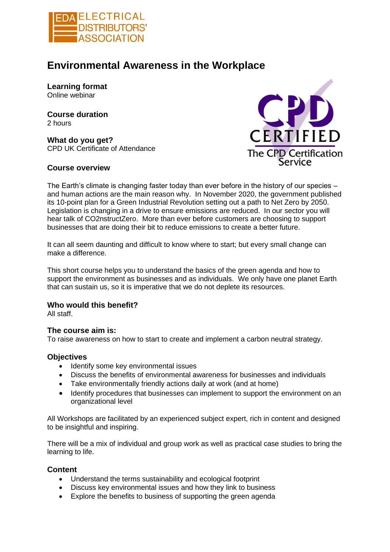

# **Environmental Awareness in the Workplace**

**Learning format**  Online webinar

**Course duration**  2 hours

**What do you get?**  CPD UK Certificate of Attendance

### **Course overview**



The Earth's climate is changing faster today than ever before in the history of our species – and human actions are the main reason why. In November 2020, the government published its 10-point plan for a Green Industrial Revolution setting out a path to Net Zero by 2050. Legislation is changing in a drive to ensure emissions are reduced. In our sector you will hear talk of CO2nstructZero. More than ever before customers are choosing to support businesses that are doing their bit to reduce emissions to create a better future.

It can all seem daunting and difficult to know where to start; but every small change can make a difference.

This short course helps you to understand the basics of the green agenda and how to support the environment as businesses and as individuals. We only have one planet Earth that can sustain us, so it is imperative that we do not deplete its resources.

## **Who would this benefit?**

All staff.

### **The course aim is:**

To raise awareness on how to start to create and implement a carbon neutral strategy.

### **Objectives**

- Identify some key environmental issues
- Discuss the benefits of environmental awareness for businesses and individuals
- Take environmentally friendly actions daily at work (and at home)
- Identify procedures that businesses can implement to support the environment on an organizational level

All Workshops are facilitated by an experienced subject expert, rich in content and designed to be insightful and inspiring.

There will be a mix of individual and group work as well as practical case studies to bring the learning to life.

### **Content**

- Understand the terms sustainability and ecological footprint
- Discuss key environmental issues and how they link to business
- Explore the benefits to business of supporting the green agenda